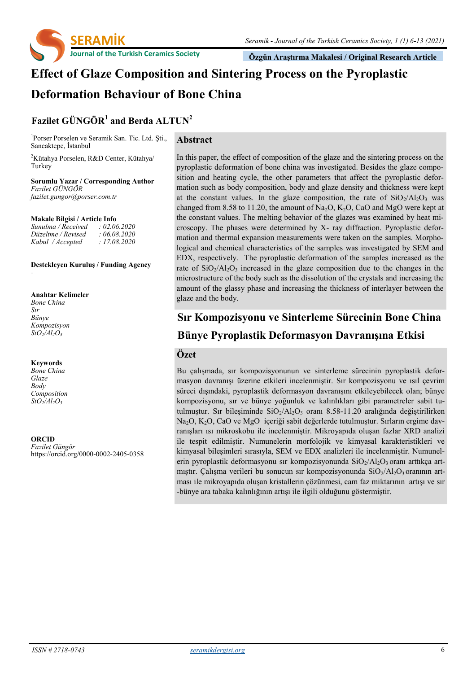

 **Özgün Araştırma Makalesi / Original Research Article**

# **Effect of Glaze Composition and Sintering Process on the Pyroplastic Deformation Behaviour of Bone China**

**Abstract**

## **Fazilet GÜNGÖR<sup>1</sup> and Berda ALTUN<sup>2</sup>**

1 Porser Porselen ve Seramik San. Tic. Ltd. Şti., Sancaktepe, İstanbul

<sup>2</sup>Kütahya Porselen, R&D Center, Kütahya/ Turkey

**Sorumlu Yazar / Corresponding Author** *Fazilet GÜNGÖR fazilet.gungor@porser.com.tr*

#### **Makale Bilgisi / Article Info**

| Sunulma / Received | : 02.06.2020 |
|--------------------|--------------|
| Düzeltme / Revised | : 06.08.2020 |
| Kabul / Accepted   | : 17.08.2020 |

#### **Destekleyen Kuruluş / Funding Agency** *-*

**Anahtar Kelimeler** *Bone China Sır Bünye Kompozisyon SiO2/Al2O<sup>3</sup>*

#### **Keywords**

*Bone China Glaze Body Composition SiO2/Al2O<sup>3</sup>*

**ORCID** *Fazilet Güngör*  https://orcid.org/0000-0002-2405-0358 In this paper, the effect of composition of the glaze and the sintering process on the pyroplastic deformation of bone china was investigated. Besides the glaze composition and heating cycle, the other parameters that affect the pyroplastic deformation such as body composition, body and glaze density and thickness were kept at the constant values. In the glaze composition, the rate of  $SiO<sub>2</sub>/Al<sub>2</sub>O<sub>3</sub>$  was changed from 8.58 to 11.20, the amount of  $Na<sub>2</sub>O$ ,  $K<sub>2</sub>O$ , CaO and MgO were kept at the constant values. The melting behavior of the glazes was examined by heat microscopy. The phases were determined by X- ray diffraction. Pyroplastic deformation and thermal expansion measurements were taken on the samples. Morphological and chemical characteristics of the samples was investigated by SEM and EDX, respectively. The pyroplastic deformation of the samples increased as the rate of  $SiO<sub>2</sub>/Al<sub>2</sub>O<sub>3</sub>$  increased in the glaze composition due to the changes in the microstructure of the body such as the dissolution of the crystals and increasing the amount of the glassy phase and increasing the thickness of interlayer between the glaze and the body.

# **Sır Kompozisyonu ve Sinterleme Sürecinin Bone China Bünye Pyroplastik Deformasyon Davranışına Etkisi**

### **Özet**

Bu çalışmada, sır kompozisyonunun ve sinterleme sürecinin pyroplastik deformasyon davranışı üzerine etkileri incelenmiştir. Sır kompozisyonu ve ısıl çevrim süreci dışındaki, pyroplastik deformasyon davranışını etkileyebilecek olan; bünye kompozisyonu, sır ve bünye yoğunluk ve kalınlıkları gibi parametreler sabit tutulmuştur. Sır bileşiminde  $SiO<sub>2</sub>/Al<sub>2</sub>O<sub>3</sub>$  oranı 8.58-11.20 aralığında değiştirilirken Na2O, K2O, CaO ve MgO içeriği sabit değerlerde tutulmuştur. Sırların ergime davranışları ısı mikroskobu ile incelenmiştir. Mikroyapıda oluşan fazlar XRD analizi ile tespit edilmiştir. Numunelerin morfolojik ve kimyasal karakteristikleri ve kimyasal bileşimleri sırasıyla, SEM ve EDX analizleri ile incelenmiştir. Numunelerin pyroplastik deformasyonu sır kompozisyonunda  $SiO<sub>2</sub>/Al<sub>2</sub>O<sub>3</sub>$  oranı arttıkça artmıştır. Çalışma verileri bu sonucun sır kompozisyonunda  $SiO<sub>2</sub>/Al<sub>2</sub>O<sub>3</sub>$  oranının artması ile mikroyapıda oluşan kristallerin çözünmesi, cam faz miktarının artışı ve sır -bünye ara tabaka kalınlığının artışı ile ilgili olduğunu göstermiştir.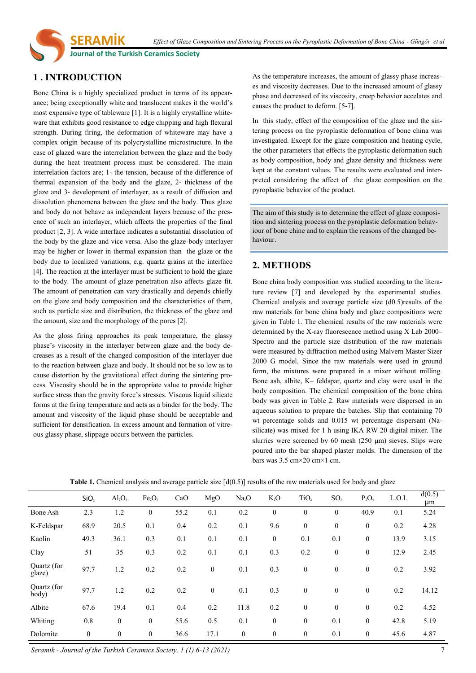*Effect of Glaze Composition and Sintering Process on the Pyroplastic Deformation of Bone China - Güngör et al*

**Journal of the Turkish Ceramics Society** 

**SERAMİK** 

### **1 . INTRODUCTION**

Bone China is a highly specialized product in terms of its appearance; being exceptionally white and translucent makes it the world's most expensive type of tableware [1]. It is a highly crystalline whiteware that exhibits good resistance to edge chipping and high flexural strength. During firing, the deformation of whiteware may have a complex origin because of its polycrystalline microstructure. In the case of glazed ware the interrelation between the glaze and the body during the heat treatment process must be considered. The main interrelation factors are; 1- the tension, because of the difference of thermal expansion of the body and the glaze, 2- thickness of the glaze and 3- development of interlayer, as a result of diffusion and dissolution phenomena between the glaze and the body. Thus glaze and body do not behave as independent layers because of the presence of such an interlayer, which affects the properties of the final product [2, 3]. A wide interface indicates a substantial dissolution of the body by the glaze and vice versa. Also the glaze-body interlayer may be higher or lower in thermal expansion than the glaze or the body due to localized variations, e.g. quartz grains at the interface [4]. The reaction at the interlayer must be sufficient to hold the glaze to the body. The amount of glaze penetration also affects glaze fit. The amount of penetration can vary drastically and depends chiefly on the glaze and body composition and the characteristics of them, such as particle size and distribution, the thickness of the glaze and the amount, size and the morphology of the pores [2].

As the gloss firing approaches its peak temperature, the glassy phase's viscosity in the interlayer between glaze and the body decreases as a result of the changed composition of the interlayer due to the reaction between glaze and body. It should not be so low as to cause distortion by the gravitational effect during the sintering process. Viscosity should be in the appropriate value to provide higher surface stress than the gravity force's stresses. Viscous liquid silicate forms at the firing temperature and acts as a binder for the body. The amount and viscosity of the liquid phase should be acceptable and sufficient for densification. In excess amount and formation of vitreous glassy phase, slippage occurs between the particles.

As the temperature increases, the amount of glassy phase increases and viscosity decreases. Due to the increased amount of glassy phase and decreased of its viscosity, creep behavior accelates and causes the product to deform. [5-7].

In this study, effect of the composition of the glaze and the sintering process on the pyroplastic deformation of bone china was investigated. Except for the glaze composition and heating cycle, the other parameters that effects the pyroplastic deformation such as body composition, body and glaze density and thickness were kept at the constant values. The results were evaluated and interpreted considering the affect of the glaze composition on the pyroplastic behavior of the product.

The aim of this study is to determine the effect of glaze composition and sintering process on the pyroplastic deformation behaviour of bone chine and to explain the reasons of the changed behaviour.

### **2. METHODS**

Bone china body composition was studied according to the literature review [7] and developed by the experimental studies. Chemical analysis and average particle size (d0.5)results of the raw materials for bone china body and glaze compositions were given in Table 1. The chemical results of the raw materials were determined by the X-ray fluorescence method using X Lab 2000– Spectro and the particle size distribution of the raw materials were measured by diffraction method using Malvern Master Sizer 2000 G model. Since the raw materials were used in ground form, the mixtures were prepared in a mixer without milling. Bone ash, albite, K– feldspar, quartz and clay were used in the body composition. The chemical composition of the bone china body was given in Table 2. Raw materials were dispersed in an aqueous solution to prepare the batches. Slip that containing 70 wt percentage solids and 0.015 wt percentage dispersant (Nasilicate) was mixed for 1 h using IKA RW 20 digital mixer. The slurries were screened by 60 mesh (250 μm) sieves. Slips were poured into the bar shaped plaster molds. The dimension of the bars was 3.5 cm×20 cm×1 cm.

|                       | SiO,         | AI <sub>2</sub> O <sub>3</sub> | Fe <sub>2</sub> O <sub>3</sub> | CaO  | MgO              | Na <sub>2</sub> O | K <sub>2</sub> O | TiO <sub>2</sub> | SO <sub>3</sub>  | $P_2O_4$         | L.O.I. | d(0.5)<br>μm |
|-----------------------|--------------|--------------------------------|--------------------------------|------|------------------|-------------------|------------------|------------------|------------------|------------------|--------|--------------|
| <b>Bone Ash</b>       | 2.3          | 1.2                            | $\theta$                       | 55.2 | 0.1              | 0.2               | $\boldsymbol{0}$ | $\theta$         | $\mathbf{0}$     | 40.9             | 0.1    | 5.24         |
| K-Feldspar            | 68.9         | 20.5                           | 0.1                            | 0.4  | 0.2              | 0.1               | 9.6              | $\mathbf{0}$     | $\mathbf{0}$     | $\mathbf{0}$     | 0.2    | 4.28         |
| Kaolin                | 49.3         | 36.1                           | 0.3                            | 0.1  | 0.1              | 0.1               | $\boldsymbol{0}$ | 0.1              | 0.1              | $\mathbf{0}$     | 13.9   | 3.15         |
| Clay                  | 51           | 35                             | 0.3                            | 0.2  | 0.1              | 0.1               | 0.3              | 0.2              | $\boldsymbol{0}$ | $\boldsymbol{0}$ | 12.9   | 2.45         |
| Quartz (for<br>glaze) | 97.7         | 1.2                            | 0.2                            | 0.2  | $\boldsymbol{0}$ | 0.1               | 0.3              | $\mathbf{0}$     | $\boldsymbol{0}$ | $\mathbf{0}$     | 0.2    | 3.92         |
| Quartz (for<br>body)  | 97.7         | 1.2                            | 0.2                            | 0.2  | $\mathbf{0}$     | 0.1               | 0.3              | $\mathbf{0}$     | $\mathbf{0}$     | $\theta$         | 0.2    | 14.12        |
| Albite                | 67.6         | 19.4                           | 0.1                            | 0.4  | 0.2              | 11.8              | 0.2              | $\mathbf{0}$     | $\mathbf{0}$     | $\mathbf{0}$     | 0.2    | 4.52         |
| Whiting               | 0.8          | $\boldsymbol{0}$               | $\mathbf{0}$                   | 55.6 | 0.5              | 0.1               | $\boldsymbol{0}$ | $\mathbf{0}$     | 0.1              | $\mathbf{0}$     | 42.8   | 5.19         |
| Dolomite              | $\mathbf{0}$ | $\boldsymbol{0}$               | $\mathbf{0}$                   | 36.6 | 17.1             | $\boldsymbol{0}$  | $\boldsymbol{0}$ | $\mathbf{0}$     | 0.1              | $\mathbf{0}$     | 45.6   | 4.87         |

**Table 1.** Chemical analysis and average particle size  $\left[ d(0.5) \right]$  results of the raw materials used for body and glaze

*Seramik - Journal of the Turkish Ceramics Society, 1 (1) 6-13 (2021)* 7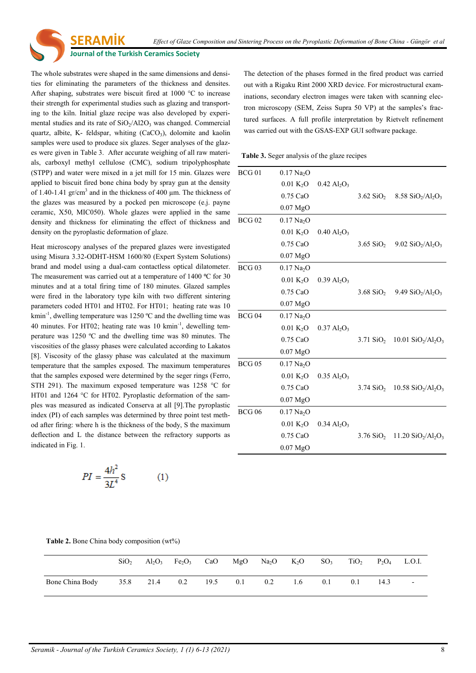#### **Journal of the Turkish Ceramics Society**

**SERAMİK** 

The whole substrates were shaped in the same dimensions and densities for eliminating the parameters of the thickness and densites. After shaping, substrates were biscuit fired at 1000 °C to increase their strength for experimental studies such as glazing and transporting to the kiln. Initial glaze recipe was also developed by experimental studies and its rate of  $SiO<sub>2</sub>/Al2O<sub>3</sub>$  was changed. Commercial quartz, albite, K- feldspar, whiting  $(CaCO<sub>3</sub>)$ , dolomite and kaolin samples were used to produce six glazes. Seger analyses of the glazes were given in Table 3. After accurate weighing of all raw materials, carboxyl methyl cellulose (CMC), sodium tripolyphosphate (STPP) and water were mixed in a jet mill for 15 min. Glazes were applied to biscuit fired bone china body by spray gun at the density of 1.40-1.41 gr/cm<sup>3</sup> and in the thickness of 400  $\mu$ m. The thickness of the glazes was measured by a pocked pen microscope (e.j. payne ceramic, X50, MIC050). Whole glazes were applied in the same density and thickness for eliminating the effect of thickness and density on the pyroplastic deformation of glaze.

Heat microscopy analyses of the prepared glazes were investigated using Misura 3.32-ODHT-HSM 1600/80 (Expert System Solutions) brand and model using a dual-cam contactless optical dilatometer. The measurement was carried out at a temperature of  $1400 \degree C$  for 30 minutes and at a total firing time of 180 minutes. Glazed samples were fired in the laboratory type kiln with two different sintering parameters coded HT01 and HT02. For HT01; heating rate was 10 kmin<sup>-1</sup>, dwelling temperature was 1250 °C and the dwelling time was 40 minutes. For HT02; heating rate was 10 kmin<sup>-1</sup>, dewelling temperature was 1250 ºC and the dwelling time was 80 minutes. The viscosities of the glassy phases were calculated according to Lakatos [8]. Viscosity of the glassy phase was calculated at the maximum temperature that the samples exposed. The maximum temperatures that the samples exposed were determined by the seger rings (Ferro, STH 291). The maximum exposed temperature was 1258 °C for HT01 and 1264 °C for HT02. Pyroplastic deformation of the samples was measured as indicated Conserva at all [9].The pyroplastic index (PI) of each samples was determined by three point test method after firing: where h is the thickness of the body, S the maximum deflection and L the distance between the refractory supports as indicated in Fig. 1.

$$
PI = \frac{4h^2}{3L^4}S
$$
 (1)

The detection of the phases formed in the fired product was carried out with a Rigaku Rint 2000 XRD device. For microstructural examinations, secondary electron images were taken with scanning electron microscopy (SEM, Zeiss Supra 50 VP) at the samples's fractured surfaces. A full profile interpretation by Rietvelt refinement was carried out with the GSAS-EXP GUI software package.

**Table 3.** Seger analysis of the glaze recipes

| $BCG$ 01          | $0.17 \text{ Na}_2\text{O}$ |                                       |                         |                                                                                |
|-------------------|-----------------------------|---------------------------------------|-------------------------|--------------------------------------------------------------------------------|
|                   | $0.01 \text{ K}_2\text{O}$  | $0.42 \text{ Al}_2\text{O}_3$         |                         |                                                                                |
|                   | $0.75$ CaO                  |                                       |                         | 3.62 SiO <sub>2</sub> 8.58 SiO <sub>2</sub> /Al <sub>2</sub> O <sub>3</sub>    |
|                   | $0.07$ MgO                  |                                       |                         |                                                                                |
| BCG <sub>02</sub> | $0.17$ Na <sub>2</sub> O    |                                       |                         |                                                                                |
|                   | 0.01 K <sub>2</sub> O       | $0.40 \text{ Al}_2\text{O}_3$         |                         |                                                                                |
|                   | $0.75$ CaO                  |                                       |                         | 3.65 SiO <sub>2</sub> 9.02 SiO <sub>2</sub> /Al <sub>2</sub> O <sub>3</sub>    |
|                   | $0.07$ MgO                  |                                       |                         |                                                                                |
| $BCG$ 03          | $0.17$ Na <sub>2</sub> O    |                                       |                         |                                                                                |
|                   | 0.01 K <sub>2</sub> O       | $0.39$ Al <sub>2</sub> O <sub>3</sub> |                         |                                                                                |
|                   | $0.75$ CaO                  |                                       |                         | 3.68 SiO <sub>2</sub> 9.49 SiO <sub>2</sub> /Al <sub>2</sub> O <sub>3</sub>    |
|                   | 0.07 <sub>mgO</sub>         |                                       |                         |                                                                                |
| $BCG$ 04          | $0.17 \text{ Na}_2\text{O}$ |                                       |                         |                                                                                |
|                   | 0.01 K <sub>2</sub> O       | $0.37 \text{ Al}_2\text{O}_3$         |                         |                                                                                |
|                   | $0.75$ CaO                  |                                       |                         | 3.71 SiO <sub>2</sub> 10.01 SiO <sub>2</sub> /Al <sub>2</sub> O <sub>3</sub>   |
|                   | $0.07$ MgO                  |                                       |                         |                                                                                |
| $BCG$ 05          | $0.17$ Na <sub>2</sub> O    |                                       |                         |                                                                                |
|                   | $0.01 \text{ K}_2\text{O}$  | $0.35$ Al <sub>2</sub> O <sub>3</sub> |                         |                                                                                |
|                   | $0.75$ CaO                  |                                       |                         | $3.74$ SiO <sub>2</sub> 10.58 SiO <sub>2</sub> /Al <sub>2</sub> O <sub>3</sub> |
|                   | $0.07$ MgO                  |                                       |                         |                                                                                |
| <b>BCG 06</b>     | $0.17 \text{ Na}_2\text{O}$ |                                       |                         |                                                                                |
|                   | $0.01 \text{ K}_2\text{O}$  | $0.34$ Al <sub>2</sub> O <sub>3</sub> |                         |                                                                                |
|                   | $0.75$ CaO                  |                                       | $3.76$ SiO <sub>2</sub> | 11.20 $SiO_2/Al_2O_3$                                                          |
|                   | $0.07$ MgO                  |                                       |                         |                                                                                |

**Table 2.** Bone China body composition (wt%)

|                 | SiO <sub>2</sub> |               |                | $Al_2O_3$ Fe <sub>2</sub> O <sub>3</sub> CaO MgO Na <sub>2</sub> O K <sub>2</sub> O SO <sub>3</sub> TiO <sub>2</sub> P <sub>2</sub> O <sub>4</sub> L.O.I. |     |     |     |      |  |
|-----------------|------------------|---------------|----------------|-----------------------------------------------------------------------------------------------------------------------------------------------------------|-----|-----|-----|------|--|
| Bone China Body |                  | 35.8 21.4 0.2 | $19.5$ 0.1 0.2 |                                                                                                                                                           | 1.6 | 0.1 | 0.1 | 14.3 |  |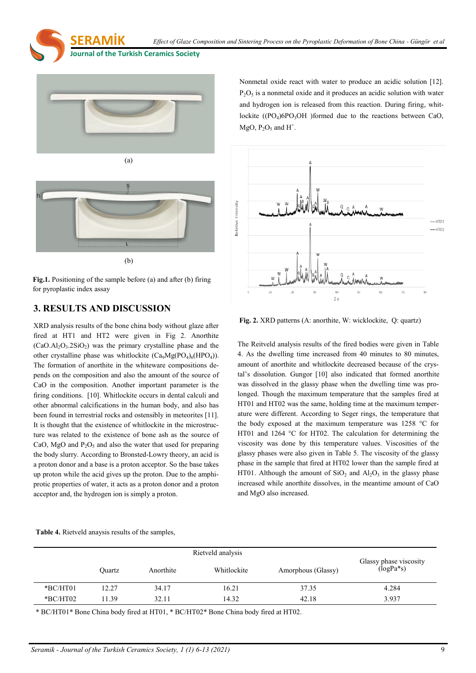**Journal of the Turkish Ceramics Society** 

**SERAMİK** 





**Fig.1.** Positioning of the sample before (a) and after (b) firing for pyroplastic index assay

### **3. RESULTS AND DISCUSSION**

XRD analysis results of the bone china body without glaze after fired at HT1 and HT2 were given in Fig 2. Anorthite  $(CaO.AI<sub>2</sub>O<sub>3</sub>.2SiO<sub>2</sub>)$  was the primary crystalline phase and the other crystalline phase was whitlockite  $(Ca_9Mg(PO_4)_6(HPO_4))$ . The formation of anorthite in the whiteware compositions depends on the composition and also the amount of the source of CaO in the composition. Another important parameter is the firing conditions. [10]. Whitlockite occurs in dental calculi and other abnormal calcifications in the human body, and also has been found in terrestrial rocks and ostensibly in meteorites [11]. It is thought that the existence of whitlockite in the microstructure was related to the existence of bone ash as the source of CaO, MgO and  $P_2O_5$  and also the water that used for preparing the body slurry. According to Bronsted-Lowry theory, an acid is a proton donor and a base is a proton acceptor. So the base takes up proton while the acid gives up the proton. Due to the amphiprotic properties of water, it acts as a proton donor and a proton acceptor and, the hydrogen ion is simply a proton.

Nonmetal oxide react with water to produce an acidic solution [12].  $P_2O_5$  is a nonmetal oxide and it produces an acidic solution with water and hydrogen ion is released from this reaction. During firing, whitlockite  $((PO<sub>4</sub>)6PO<sub>3</sub>OH)$  formed due to the reactions between CaO,  $MgO, P<sub>2</sub>O<sub>5</sub>$  and  $H<sup>+</sup>$ .



**Fig. 2.** XRD patterns (A: anorthite, W: wicklockite, Q: quartz)

The Reitveld analysis results of the fired bodies were given in Table 4. As the dwelling time increased from 40 minutes to 80 minutes, amount of anorthite and whitlockite decreased because of the crystal's dissolution. Gungor [10] also indicated that formed anorthite was dissolved in the glassy phase when the dwelling time was prolonged. Though the maximum temperature that the samples fired at HT01 and HT02 was the same, holding time at the maximum temperature were different. According to Seger rings, the temperature that the body exposed at the maximum temperature was 1258 °C for HT01 and 1264 °C for HT02. The calculation for determining the viscosity was done by this temperature values. Viscosities of the glassy phases were also given in Table 5. The viscosity of the glassy phase in the sample that fired at HT02 lower than the sample fired at HT01. Although the amount of  $SiO<sub>2</sub>$  and  $Al<sub>2</sub>O<sub>3</sub>$  in the glassy phase increased while anorthite dissolves, in the meantime amount of CaO and MgO also increased.

#### **Table 4.** Rietveld anaysis results of the samples,

|            |        |           | Rietveld analysis |                    |                                       |
|------------|--------|-----------|-------------------|--------------------|---------------------------------------|
|            | Ouartz | Anorthite | Whitlockite       | Amorphous (Glassy) | Glassy phase viscosity<br>$(logPa*s)$ |
| *BC/HT01   | 12.27  | 34.17     | 16.21             | 37.35              | 4.284                                 |
| $*BC/HT02$ | 11.39  | 32.11     | 14.32             | 42.18              | 3.937                                 |

\* BC/HT01\* Bone China body fired at HT01, \* BC/HT02\* Bone China body fired at HT02.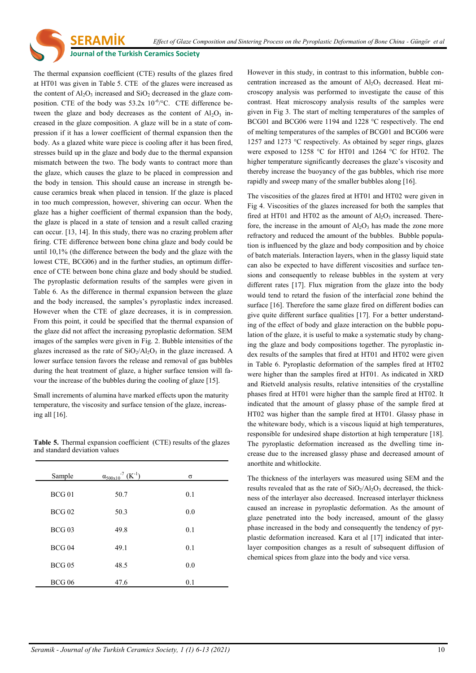#### **Journal of the Turkish Ceramics Society**

**SERAMİK** 

The thermal expansion coefficient (CTE) results of the glazes fired at HT01 was given in Table 5. CTE of the glazes were increased as the content of  $A<sub>1</sub>O<sub>3</sub>$  increased and  $SiO<sub>2</sub>$  decreased in the glaze composition. CTE of the body was  $53.2x\ 10^{-6}/^{\circ}$ C. CTE difference between the glaze and body decreases as the content of  $Al_2O_3$  increased in the glaze composition. A glaze will be in a state of compression if it has a lower coefficient of thermal expansion then the body. As a glazed white ware piece is cooling after it has been fired, stresses build up in the glaze and body due to the thermal expansion mismatch between the two. The body wants to contract more than the glaze, which causes the glaze to be placed in compression and the body in tension. This should cause an increase in strength because ceramics break when placed in tension. If the glaze is placed in too much compression, however, shivering can occur. When the glaze has a higher coefficient of thermal expansion than the body, the glaze is placed in a state of tension and a result called crazing can occur. [13, 14]. In this study, there was no crazing problem after firing. CTE difference between bone china glaze and body could be until 10,1% (the difference between the body and the glaze with the lowest CTE, BCG06) and in the further studies, an optimum difference of CTE between bone china glaze and body should be studied. The pyroplastic deformation results of the samples were given in Table 6. As the difference in thermal expansion between the glaze and the body increased, the samples's pyroplastic index increased. However when the CTE of glaze decreases, it is in compression. From this point, it could be specified that the thermal expansion of the glaze did not affect the increasing pyroplastic deformation. SEM images of the samples were given in Fig. 2. Bubble intensities of the glazes increased as the rate of  $SiO<sub>2</sub>/Al<sub>2</sub>O<sub>3</sub>$  in the glaze increased. A lower surface tension favors the release and removal of gas bubbles during the heat treatment of glaze, a higher surface tension will favour the increase of the bubbles during the cooling of glaze [15].

Small increments of alumina have marked effects upon the maturity temperature, the viscosity and surface tension of the glaze, increasing all [16].

**Table 5.** Thermal expansion coefficient (CTE) results of the glazes and standard deviation values

| Sample        | $\alpha_{500x10}$ <sup>7</sup> (K <sup>-1</sup> ) | σ   |
|---------------|---------------------------------------------------|-----|
| $BCG$ 01      | 50.7                                              | 0.1 |
| <b>BCG02</b>  | 50.3                                              | 0.0 |
| $BCG$ 03      | 49.8                                              | 0.1 |
|               |                                                   |     |
| $BCG$ 04      | 49.1                                              | 0.1 |
| $BCG$ 05      | 48.5                                              | 0.0 |
| <b>BCG 06</b> | 47.6                                              | 0.1 |

However in this study, in contrast to this information, bubble concentration increased as the amount of  $Al_2O_3$  decreased. Heat microscopy analysis was performed to investigate the cause of this contrast. Heat microscopy analysis results of the samples were given in Fig 3. The start of melting temperatures of the samples of BCG01 and BCG06 were 1194 and 1228 °C respectively. The end of melting temperatures of the samples of BCG01 and BCG06 were 1257 and 1273 °C respectively. As obtained by seger rings, glazes were exposed to 1258 °C for HT01 and 1264 °C for HT02. The higher temperature significantly decreases the glaze's viscosity and thereby increase the buoyancy of the gas bubbles, which rise more rapidly and sweep many of the smaller bubbles along [16].

The viscosities of the glazes fired at HT01 and HT02 were given in Fig 4. Viscosities of the glazes increased for both the samples that fired at HT01 and HT02 as the amount of  $Al_2O_3$  increased. Therefore, the increase in the amount of  $Al_2O_3$  has made the zone more refractory and reduced the amount of the bubbles. Bubble population is influenced by the glaze and body composition and by choice of batch materials. Interaction layers, when in the glassy liquid state can also be expected to have different viscosities and surface tensions and consequently to release bubbles in the system at very different rates [17]. Flux migration from the glaze into the body would tend to retard the fusion of the interfacial zone behind the surface [16]. Therefore the same glaze fired on different bodies can give quite different surface qualities [17]. For a better understanding of the effect of body and glaze interaction on the bubble population of the glaze, it is useful to make a systematic study by changing the glaze and body compositions together. The pyroplastic index results of the samples that fired at HT01 and HT02 were given in Table 6. Pyroplastic deformation of the samples fired at HT02 were higher than the samples fired at HT01. As indicated in XRD and Rietveld analysis results, relative intensities of the crystalline phases fired at HT01 were higher than the sample fired at HT02. It indicated that the amount of glassy phase of the sample fired at HT02 was higher than the sample fired at HT01. Glassy phase in the whiteware body, which is a viscous liquid at high temperatures, responsible for undesired shape distortion at high temperature [18]. The pyroplastic deformation increased as the dwelling time increase due to the increased glassy phase and decreased amount of anorthite and whitlockite.

The thickness of the interlayers was measured using SEM and the results revealed that as the rate of  $SiO<sub>2</sub>/Al<sub>2</sub>O<sub>3</sub>$  decreased, the thickness of the interlayer also decreased. Increased interlayer thickness caused an increase in pyroplastic deformation. As the amount of glaze penetrated into the body increased, amount of the glassy phase increased in the body and consequently the tendency of pyrplastic deformation increased. Kara et al [17] indicated that interlayer composition changes as a result of subsequent diffusion of chemical spices from glaze into the body and vice versa.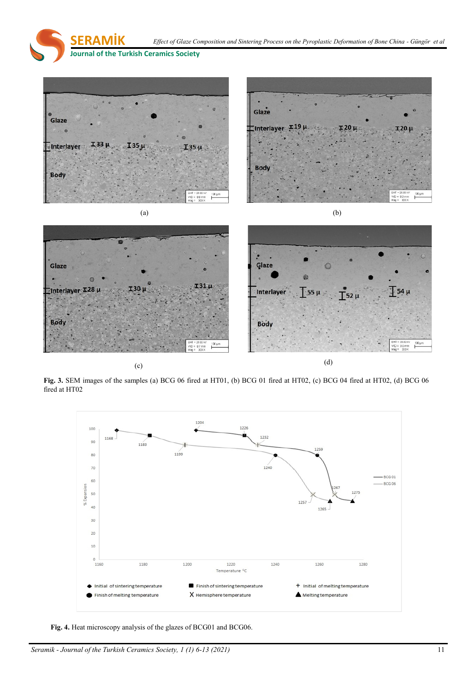**SERAMİK Journal of the Turkish Ceramics Society**  *Effect of Glaze Composition and Sintering Process on the Pyroplastic Deformation of Bone China - Güngör et al*



**Fig. 3.** SEM images of the samples (a) BCG 06 fired at HT01, (b) BCG 01 fired at HT02, (c) BCG 04 fired at HT02, (d) BCG 06 fired at HT02



**Fig. 4.** Heat microscopy analysis of the glazes of BCG01 and BCG06.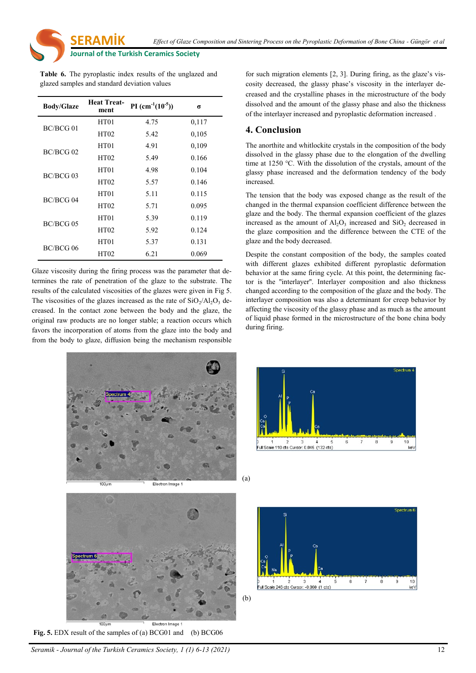*Effect of Glaze Composition and Sintering Process on the Pyroplastic Deformation of Bone China - Güngör et al*

**Journal of the Turkish Ceramics Society** 

**SERAMİK** 

**Table 6.** The pyroplastic index results of the unglazed and glazed samples and standard deviation values

| <b>Body/Glaze</b> | <b>Heat Treat-</b><br>ment | PI $(cm^{-1}(10^{-5}))$ | σ     |
|-------------------|----------------------------|-------------------------|-------|
|                   | <b>HT01</b>                | 4.75                    | 0,117 |
| BC/BCG 01         | HT02                       | 5.42                    | 0,105 |
| $BC/BCG$ 02       | <b>HT01</b>                | 4.91                    | 0,109 |
|                   | HT02                       | 5.49                    | 0.166 |
| BC/BCG 03         | <b>HT01</b>                | 4.98                    | 0.104 |
|                   | HT02                       | 5.57                    | 0.146 |
|                   | <b>HT01</b>                | 5.11                    | 0.115 |
| BC/BCG 04         | HT02                       | 5.71                    | 0.095 |
|                   | <b>HT01</b>                | 5.39                    | 0.119 |
| BC/BCG 05         | HT02                       | 5.92                    | 0.124 |
| BC/BCG 06         | <b>HT01</b>                | 5.37                    | 0.131 |
|                   | HT02                       | 6.21                    | 0.069 |

Glaze viscosity during the firing process was the parameter that determines the rate of penetration of the glaze to the substrate. The results of the calculated viscosities of the glazes were given in Fig 5. The viscosities of the glazes increased as the rate of  $SiO<sub>2</sub>/Al<sub>2</sub>O<sub>3</sub>$  decreased. In the contact zone between the body and the glaze, the original raw products are no longer stable; a reaction occurs which favors the incorporation of atoms from the glaze into the body and from the body to glaze, diffusion being the mechanism responsible



Electron Image 1

(a)



**Fig. 5.** EDX result of the samples of (a) BCG01 and (b) BCG06

 $100$ 

for such migration elements [2, 3]. During firing, as the glaze's viscosity decreased, the glassy phase's viscosity in the interlayer decreased and the crystalline phases in the microstructure of the body dissolved and the amount of the glassy phase and also the thickness of the interlayer increased and pyroplastic deformation increased .

### **4. Conclusion**

The anorthite and whitlockite crystals in the composition of the body dissolved in the glassy phase due to the elongation of the dwelling time at 1250 °C. With the dissolution of the crystals, amount of the glassy phase increased and the deformation tendency of the body increased.

The tension that the body was exposed change as the result of the changed in the thermal expansion coefficient difference between the glaze and the body. The thermal expansion coefficient of the glazes increased as the amount of  $Al_2O_3$  increased and  $SiO_2$  decreased in the glaze composition and the difference between the CTE of the glaze and the body decreased.

Despite the constant composition of the body, the samples coated with different glazes exhibited different pyroplastic deformation behavior at the same firing cycle. At this point, the determining factor is the ''interlayer''. Interlayer composition and also thickness changed according to the composition of the glaze and the body. The interlayer composition was also a determinant for creep behavior by affecting the viscosity of the glassy phase and as much as the amount of liquid phase formed in the microstructure of the bone china body during firing.